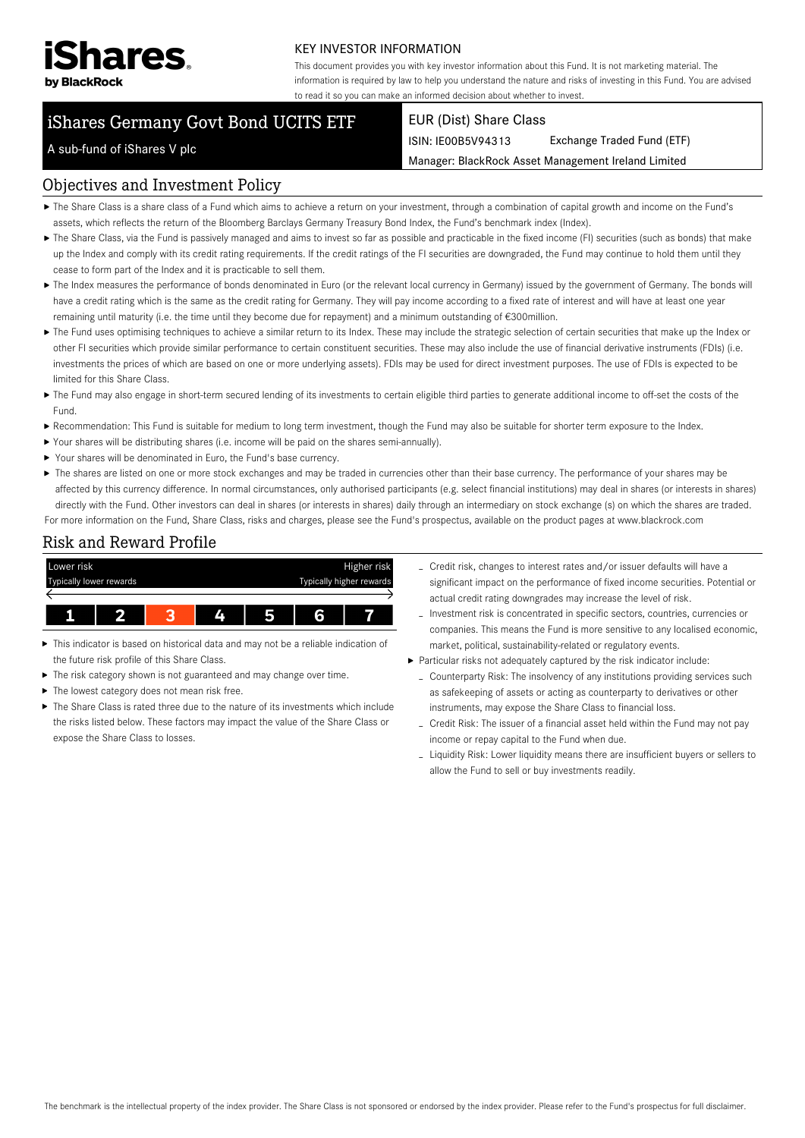

#### KEY INVESTOR INFORMATION

This document provides you with key investor information about this Fund. It is not marketing material. The information is required by law to help you understand the nature and risks of investing in this Fund. You are advised to read it so you can make an informed decision about whether to invest.

# iShares Germany Govt Bond UCITS ETF

#### EUR (Dist) Share Class

ISIN: IE00B5V94313 Exchange Traded Fund (ETF)

Manager: BlackRock Asset Management Ireland Limited

## A sub-fund of iShares V plc

#### Objectives and Investment Policy

- The Share Class is a share class of a Fund which aims to achieve a return on your investment, through a combination of capital growth and income on the Fund's assets, which reflects the return of the Bloomberg Barclays Germany Treasury Bond Index, the Fund's benchmark index (Index).
- ▶ The Share Class, via the Fund is passively managed and aims to invest so far as possible and practicable in the fixed income (FI) securities (such as bonds) that make up the Index and comply with its credit rating requirements. If the credit ratings of the FI securities are downgraded, the Fund may continue to hold them until they cease to form part of the Index and it is practicable to sell them.
- ▶ The Index measures the performance of bonds denominated in Euro (or the relevant local currency in Germany) issued by the government of Germany. The bonds will have a credit rating which is the same as the credit rating for Germany. They will pay income according to a fixed rate of interest and will have at least one year remaining until maturity (i.e. the time until they become due for repayment) and a minimum outstanding of €300million.
- ▶ The Fund uses optimising techniques to achieve a similar return to its Index. These may include the strategic selection of certain securities that make up the Index or other FI securities which provide similar performance to certain constituent securities. These may also include the use of financial derivative instruments (FDIs) (i.e. investments the prices of which are based on one or more underlying assets). FDIs may be used for direct investment purposes. The use of FDIs is expected to be limited for this Share Class.
- ▶ The Fund may also engage in short-term secured lending of its investments to certain eligible third parties to generate additional income to off-set the costs of the Fund.
- Recommendation: This Fund is suitable for medium to long term investment, though the Fund may also be suitable for shorter term exposure to the Index.
- Your shares will be distributing shares (i.e. income will be paid on the shares semi-annually).
- ▶ Your shares will be denominated in Euro, the Fund's base currency.
- ▶ The shares are listed on one or more stock exchanges and may be traded in currencies other than their base currency. The performance of your shares may be affected by this currency difference. In normal circumstances, only authorised participants (e.g. select financial institutions) may deal in shares (or interests in shares) directly with the Fund. Other investors can deal in shares (or interests in shares) daily through an intermediary on stock exchange (s) on which the shares are traded. For more information on the Fund, Share Class, risks and charges, please see the Fund's prospectus, available on the product pages at www.blackrock.com

#### Risk and Reward Profile



- This indicator is based on historical data and may not be a reliable indication of ь the future risk profile of this Share Class.
- The risk category shown is not guaranteed and may change over time.
- The lowest category does not mean risk free.
- ▶ The Share Class is rated three due to the nature of its investments which include the risks listed below. These factors may impact the value of the Share Class or expose the Share Class to losses.
- Credit risk, changes to interest rates and/or issuer defaults will have a significant impact on the performance of fixed income securities. Potential or actual credit rating downgrades may increase the level of risk.
- Investment risk is concentrated in specific sectors, countries, currencies or companies. This means the Fund is more sensitive to any localised economic, market, political, sustainability-related or regulatory events.
- Particular risks not adequately captured by the risk indicator include:
	- Counterparty Risk: The insolvency of any institutions providing services such as safekeeping of assets or acting as counterparty to derivatives or other instruments, may expose the Share Class to financial loss.
	- Credit Risk: The issuer of a financial asset held within the Fund may not pay income or repay capital to the Fund when due.
	- Liquidity Risk: Lower liquidity means there are insufficient buyers or sellers to allow the Fund to sell or buy investments readily.